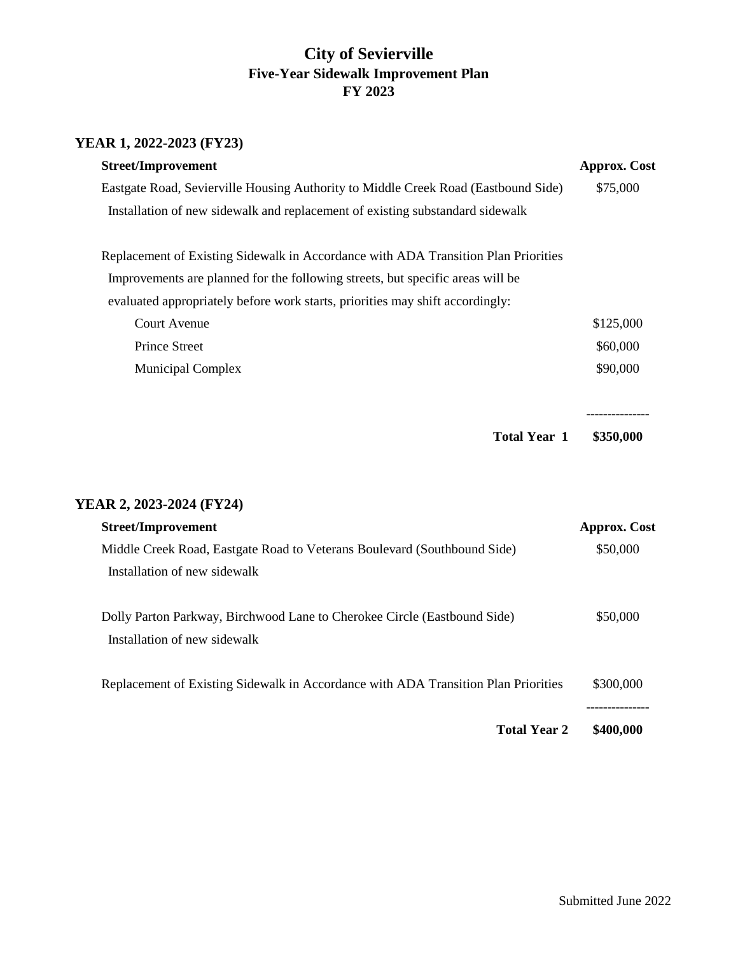## **City of Sevierville Five-Year Sidewalk Improvement Plan FY 2023**

## **YEAR 1, 2022-2023 (FY23)**

| <b>Street/Improvement</b>                                                                                | <b>Approx. Cost</b> |
|----------------------------------------------------------------------------------------------------------|---------------------|
| Eastgate Road, Sevierville Housing Authority to Middle Creek Road (Eastbound Side)                       | \$75,000            |
| Installation of new sidewalk and replacement of existing substandard sidewalk                            |                     |
| Replacement of Existing Sidewalk in Accordance with ADA Transition Plan Priorities                       |                     |
| Improvements are planned for the following streets, but specific areas will be                           |                     |
| evaluated appropriately before work starts, priorities may shift accordingly:                            |                     |
| <b>Court Avenue</b>                                                                                      | \$125,000           |
| <b>Prince Street</b>                                                                                     | \$60,000            |
| <b>Municipal Complex</b>                                                                                 | \$90,000            |
| <b>Total Year 1</b>                                                                                      | \$350,000           |
| YEAR 2, 2023-2024 (FY24)                                                                                 |                     |
| <b>Street/Improvement</b>                                                                                | <b>Approx.</b> Cost |
| Middle Creek Road, Eastgate Road to Veterans Boulevard (Southbound Side)<br>Installation of new sidewalk | \$50,000            |
| Dolly Parton Parkway, Birchwood Lane to Cherokee Circle (Eastbound Side)<br>Installation of new sidewalk | \$50,000            |
| Replacement of Existing Sidewalk in Accordance with ADA Transition Plan Priorities                       | \$300,000           |
| <b>Total Year 2</b>                                                                                      | \$400,000           |